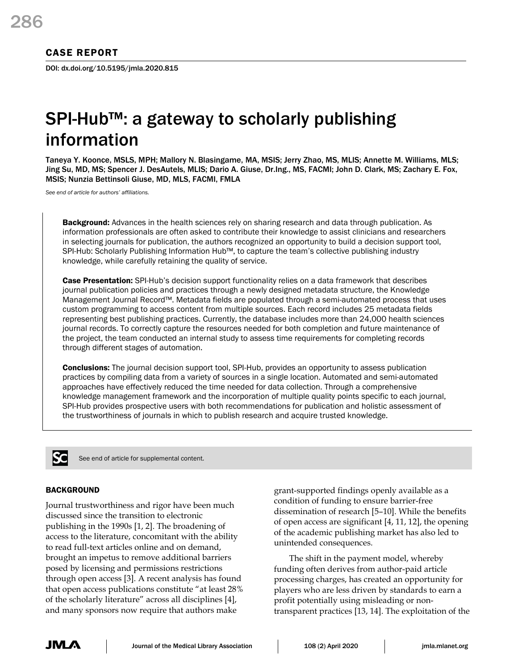# CASE REPORT

DOI: dx.doi.org/10.5195/jmla.2020.815

# SPI-Hub™: a gateway to scholarly publishing information

Taneya Y. Koonce, MSLS, MPH; Mallory N. Blasingame, MA, MSIS; Jerry Zhao, MS, MLIS; Annette M. Williams, MLS; Jing Su, MD, MS; Spencer J. DesAutels, MLIS; Dario A. Giuse, Dr.Ing., MS, FACMI; John D. Clark, MS; Zachary E. Fox, MSIS; Nunzia Bettinsoli Giuse, MD, MLS, FACMI, FMLA

*See end of article for authors' affiliations.*

**Background:** Advances in the health sciences rely on sharing research and data through publication. As information professionals are often asked to contribute their knowledge to assist clinicians and researchers in selecting journals for publication, the authors recognized an opportunity to build a decision support tool, SPI-Hub: Scholarly Publishing Information Hub™, to capture the team's collective publishing industry knowledge, while carefully retaining the quality of service.

**Case Presentation:** SPI-Hub's decision support functionality relies on a data framework that describes journal publication policies and practices through a newly designed metadata structure, the Knowledge Management Journal Record™. Metadata fields are populated through a semi-automated process that uses custom programming to access content from multiple sources. Each record includes 25 metadata fields representing best publishing practices. Currently, the database includes more than 24,000 health sciences journal records. To correctly capture the resources needed for both completion and future maintenance of the project, the team conducted an internal study to assess time requirements for completing records through different stages of automation.

**Conclusions:** The journal decision support tool, SPI-Hub, provides an opportunity to assess publication practices by compiling data from a variety of sources in a single location. Automated and semi-automated approaches have effectively reduced the time needed for data collection. Through a comprehensive knowledge management framework and the incorporation of multiple quality points specific to each journal, SPI-Hub provides prospective users with both recommendations for publication and holistic assessment of the trustworthiness of journals in which to publish research and acquire trusted knowledge.



See end of article for supplemental content.

## BACKGROUND

Journal trustworthiness and rigor have been much discussed since the transition to electronic publishing in the 1990s [1, 2]. The broadening of access to the literature, concomitant with the ability to read full-text articles online and on demand, brought an impetus to remove additional barriers posed by licensing and permissions restrictions through open access [3]. A recent analysis has found that open access publications constitute "at least 28% of the scholarly literature" across all disciplines [4], and many sponsors now require that authors make

grant-supported findings openly available as a condition of funding to ensure barrier-free dissemination of research [5–10]. While the benefits of open access are significant [4, 11, 12], the opening of the academic publishing market has also led to unintended consequences.

The shift in the payment model, whereby funding often derives from author-paid article processing charges, has created an opportunity for players who are less driven by standards to earn a profit potentially using misleading or nontransparent practices [13, 14]. The exploitation of the

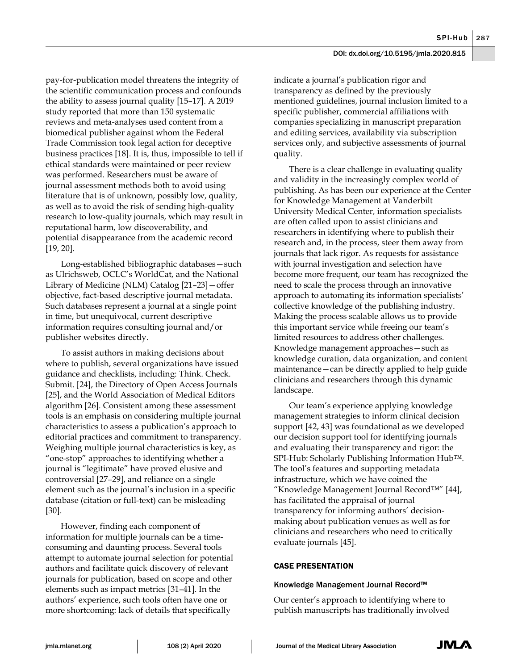pay-for-publication model threatens the integrity of the scientific communication process and confounds the ability to assess journal quality [15–17]. A 2019 study reported that more than 150 systematic reviews and meta-analyses used content from a biomedical publisher against whom the Federal Trade Commission took legal action for deceptive business practices [18]. It is, thus, impossible to tell if ethical standards were maintained or peer review was performed. Researchers must be aware of journal assessment methods both to avoid using literature that is of unknown, possibly low, quality, as well as to avoid the risk of sending high-quality research to low-quality journals, which may result in reputational harm, low discoverability, and potential disappearance from the academic record [19, 20].

Long-established bibliographic databases—such as Ulrichsweb, OCLC's WorldCat, and the National Library of Medicine (NLM) Catalog [21–23]—offer objective, fact-based descriptive journal metadata. Such databases represent a journal at a single point in time, but unequivocal, current descriptive information requires consulting journal and/or publisher websites directly.

To assist authors in making decisions about where to publish, several organizations have issued guidance and checklists, including: Think. Check. Submit. [24], the Directory of Open Access Journals [25], and the World Association of Medical Editors algorithm [26]. Consistent among these assessment tools is an emphasis on considering multiple journal characteristics to assess a publication's approach to editorial practices and commitment to transparency. Weighing multiple journal characteristics is key, as "one-stop" approaches to identifying whether a journal is "legitimate" have proved elusive and controversial [27–29], and reliance on a single element such as the journal's inclusion in a specific database (citation or full-text) can be misleading [30].

However, finding each component of information for multiple journals can be a timeconsuming and daunting process. Several tools attempt to automate journal selection for potential authors and facilitate quick discovery of relevant journals for publication, based on scope and other elements such as impact metrics [31–41]. In the authors' experience, such tools often have one or more shortcoming: lack of details that specifically

indicate a journal's publication rigor and transparency as defined by the previously mentioned guidelines, journal inclusion limited to a specific publisher, commercial affiliations with companies specializing in manuscript preparation and editing services, availability via subscription services only, and subjective assessments of journal quality.

There is a clear challenge in evaluating quality and validity in the increasingly complex world of publishing. As has been our experience at the Center for Knowledge Management at Vanderbilt University Medical Center*,* information specialists are often called upon to assist clinicians and researchers in identifying where to publish their research and, in the process, steer them away from journals that lack rigor. As requests for assistance with journal investigation and selection have become more frequent, our team has recognized the need to scale the process through an innovative approach to automating its information specialists' collective knowledge of the publishing industry. Making the process scalable allows us to provide this important service while freeing our team's limited resources to address other challenges. Knowledge management approaches—such as knowledge curation, data organization, and content maintenance—can be directly applied to help guide clinicians and researchers through this dynamic landscape.

Our team's experience applying knowledge management strategies to inform clinical decision support [42, 43] was foundational as we developed our decision support tool for identifying journals and evaluating their transparency and rigor: the SPI-Hub: Scholarly Publishing Information Hub™. The tool's features and supporting metadata infrastructure, which we have coined the "Knowledge Management Journal Record™" [44], has facilitated the appraisal of journal transparency for informing authors' decisionmaking about publication venues as well as for clinicians and researchers who need to critically evaluate journals [45].

# CASE PRESENTATION

## Knowledge Management Journal Record™

Our center's approach to identifying where to publish manuscripts has traditionally involved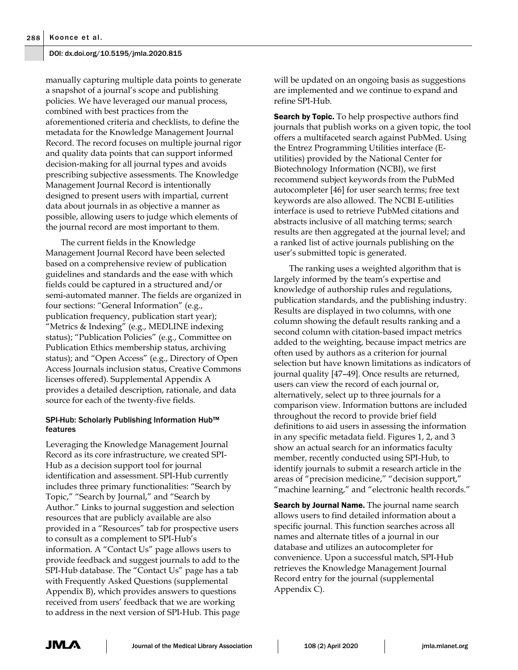manually capturing multiple data points to generate a snapshot of a journal's scope and publishing policies. We have leveraged our manual process, combined with best practices from the aforementioned criteria and checklists, to define the metadata for the Knowledge Management Journal Record. The record focuses on multiple journal rigor and quality data points that can support informed decision-making for all journal types and avoids prescribing subjective assessments. The Knowledge Management Journal Record is intentionally designed to present users with impartial, current data about journals in as objective a manner as possible, allowing users to judge which elements of the journal record are most important to them.

The current fields in the Knowledge Management Journal Record have been selected based on a comprehensive review of publication guidelines and standards and the ease with which fields could be captured in a structured and/or semi-automated manner. The fields are organized in four sections: "General Information" (e.g., publication frequency, publication start year); "Metrics & Indexing" (e.g., MEDLINE indexing status); "Publication Policies" (e.g., Committee on Publication Ethics membership status, archiving status); and "Open Access" (e.g., Directory of Open Access Journals inclusion status, Creative Commons licenses offered). Supplemental Appendix A provides a detailed description, rationale, and data source for each of the twenty-five fields.

## SPI-Hub: Scholarly Publishing Information Hub™ features

Leveraging the Knowledge Management Journal Record as its core infrastructure, we created SPI-Hub as a decision support tool for journal identification and assessment. SPI-Hub currently includes three primary functionalities: "Search by Topic," "Search by Journal," and "Search by Author." Links to journal suggestion and selection resources that are publicly available are also provided in a "Resources" tab for prospective users to consult as a complement to SPI-Hub's information. A "Contact Us" page allows users to provide feedback and suggest journals to add to the SPI-Hub database. The "Contact Us" page has a tab with Frequently Asked Questions (supplemental Appendix B), which provides answers to questions received from users' feedback that we are working to address in the next version of SPI-Hub. This page will be updated on an ongoing basis as suggestions are implemented and we continue to expand and refine SPI-Hub.

**Search by Topic.** To help prospective authors find journals that publish works on a given topic, the tool offers a multifaceted search against PubMed. Using the Entrez Programming Utilities interface (Eutilities) provided by the National Center for Biotechnology Information (NCBI), we first recommend subject keywords from the PubMed autocompleter [46] for user search terms; free text keywords are also allowed. The NCBI E-utilities interface is used to retrieve PubMed citations and abstracts inclusive of all matching terms; search results are then aggregated at the journal level; and a ranked list of active journals publishing on the user's submitted topic is generated.

The ranking uses a weighted algorithm that is largely informed by the team's expertise and knowledge of authorship rules and regulations, publication standards, and the publishing industry. Results are displayed in two columns, with one column showing the default results ranking and a second column with citation-based impact metrics added to the weighting, because impact metrics are often used by authors as a criterion for journal selection but have known limitations as indicators of journal quality [47–49]. Once results are returned, users can view the record of each journal or, alternatively, select up to three journals for a comparison view. Information buttons are included throughout the record to provide brief field definitions to aid users in assessing the information in any specific metadata field. Figures 1, 2, and 3 show an actual search for an informatics faculty member, recently conducted using SPI-Hub, to identify journals to submit a research article in the areas of "precision medicine," "decision support," "machine learning," and "electronic health records."

**Search by Journal Name.** The journal name search allows users to find detailed information about a specific journal. This function searches across all names and alternate titles of a journal in our database and utilizes an autocompleter for convenience. Upon a successful match, SPI-Hub retrieves the Knowledge Management Journal Record entry for the journal (supplemental Appendix C).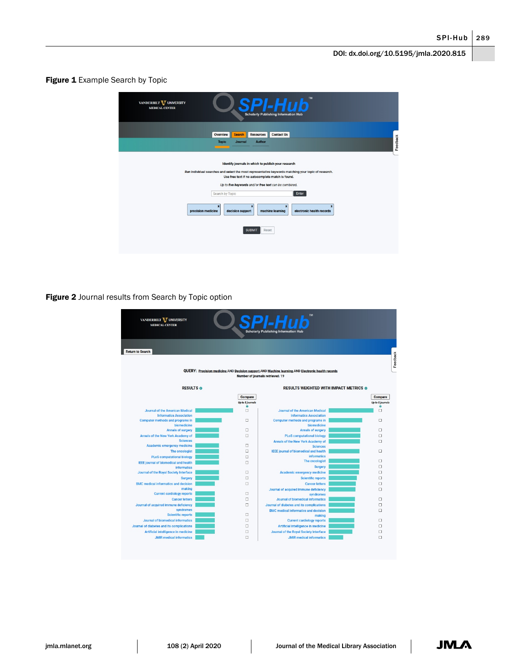Figure 1 Example Search by Topic

| VANDERBILT V UNIVERSITY<br><b>MEDICAL CENTER</b>                                                                                                                                                                                                                                                     | <b>TM</b><br><b>Scholarly Publishing Information Hub</b>                                                                                   |  |  |  |  |  |  |  |
|------------------------------------------------------------------------------------------------------------------------------------------------------------------------------------------------------------------------------------------------------------------------------------------------------|--------------------------------------------------------------------------------------------------------------------------------------------|--|--|--|--|--|--|--|
|                                                                                                                                                                                                                                                                                                      | Overview<br><b>Resources</b><br><b>Contact Us</b><br><b>Search</b><br>Feedback<br><b>Author</b><br><b>Topic</b><br>Journal                 |  |  |  |  |  |  |  |
| Identify journals in which to publish your research<br>Run individual searches and select the most representative keywords matching your topic of research.<br>Use free text if no autocomplete match is found.<br>Up to five keywords and/or free text can be combined.<br>Enter<br>Search by Topic |                                                                                                                                            |  |  |  |  |  |  |  |
| precision medicine                                                                                                                                                                                                                                                                                   | $\mathbf{x}$<br>$\mathbf{x}$<br>$\mathbf x$<br>decision support<br>machine learning<br>electronic health records<br><b>SUBMIT</b><br>Reset |  |  |  |  |  |  |  |

Figure 2 Journal results from Search by Topic option

| VANDERBILT VUNIVERSITY<br><b>MEDICAL CENTER</b>          |                             | <b>Scholarly Publishing Information Hub</b>                                                                                           |                             |  |  |
|----------------------------------------------------------|-----------------------------|---------------------------------------------------------------------------------------------------------------------------------------|-----------------------------|--|--|
| <b>Return to Search</b>                                  |                             |                                                                                                                                       |                             |  |  |
|                                                          |                             | QUERY: Precision medicine AND Decision support AND Machine learning AND Electronic health records<br>Number of journals retrieved: 19 |                             |  |  |
| <b>RESULTS @</b>                                         |                             | <b>RESULTS WEIGHTED WITH IMPACT METRICS @</b>                                                                                         |                             |  |  |
|                                                          | Compare<br>Up to 5 journals |                                                                                                                                       | Compare<br>Up to 5 journals |  |  |
| Journal of the American Medical                          | $\bullet$<br>$\Box$         | Journal of the American Medical                                                                                                       | $\bullet$<br>$\Box$         |  |  |
| <b>Informatics Association</b>                           |                             | <b>Informatics Association</b>                                                                                                        |                             |  |  |
| Computer methods and programs in                         | п                           | <b>Computer methods and programs in</b>                                                                                               | $\Box$                      |  |  |
| biomedicine                                              |                             | biomedicine                                                                                                                           |                             |  |  |
| Annals of surgery                                        | п                           | Annals of surgery                                                                                                                     | п                           |  |  |
| Annals of the New York Academy of                        | $\Box$                      | <b>PLoS</b> computational biology                                                                                                     | $\Box$                      |  |  |
| <b>Sciences</b>                                          |                             | Annals of the New York Academy of                                                                                                     | $\Box$                      |  |  |
| Academic emergency medicine                              | $\Box$                      | <b>Sciences</b>                                                                                                                       |                             |  |  |
| The oncologist                                           | $\Box$                      | <b>IEEE</b> journal of biomedical and health                                                                                          | $\Box$                      |  |  |
| <b>PLoS</b> computational biology                        | □                           | <b>informatics</b><br>The oncologist                                                                                                  | $\Box$                      |  |  |
| IEEE journal of biomedical and health                    | $\Box$                      |                                                                                                                                       | $\Box$                      |  |  |
| <b>informatics</b>                                       | $\Box$                      | <b>Surgery</b>                                                                                                                        | $\Box$                      |  |  |
| Journal of the Royal Society Interface<br><b>Surgery</b> | $\Box$                      | <b>Academic emergency medicine</b><br><b>Scientific reports</b>                                                                       | □                           |  |  |
|                                                          |                             |                                                                                                                                       |                             |  |  |
| <b>BMC</b> medical informatics and decision<br>making    | $\Box$                      | <b>Cancer letters</b>                                                                                                                 | $\Box$                      |  |  |
| <b>Current cardiology reports</b>                        | $\Box$                      | Journal of acquired immune deficiency<br>syndromes                                                                                    | $\Box$                      |  |  |
| <b>Cancer letters</b>                                    | □                           | <b>Journal of biomedical informatics</b>                                                                                              | □                           |  |  |
| Journal of acquired immune deficiency                    | $\Box$                      | Journal of diabetes and its complications                                                                                             | $\Box$                      |  |  |
| syndromes                                                |                             | <b>BMC</b> medical informatics and decision                                                                                           | $\Box$                      |  |  |
| <b>Scientific reports</b>                                | п                           | making                                                                                                                                |                             |  |  |
| Journal of biomedical informatics                        | $\Box$                      | <b>Current cardiology reports</b>                                                                                                     | $\Box$                      |  |  |
| Journal of diabetes and its complications                | $\Box$                      | Artificial intelligence in medicine                                                                                                   | $\Box$                      |  |  |
| Artificial intelligence in medicine                      | $\Box$                      | Journal of the Royal Society Interface                                                                                                | $\Box$                      |  |  |
| <b>JMIR</b> medical informatics                          | $\Box$                      | <b>JMIR</b> medical informatics                                                                                                       | $\Box$                      |  |  |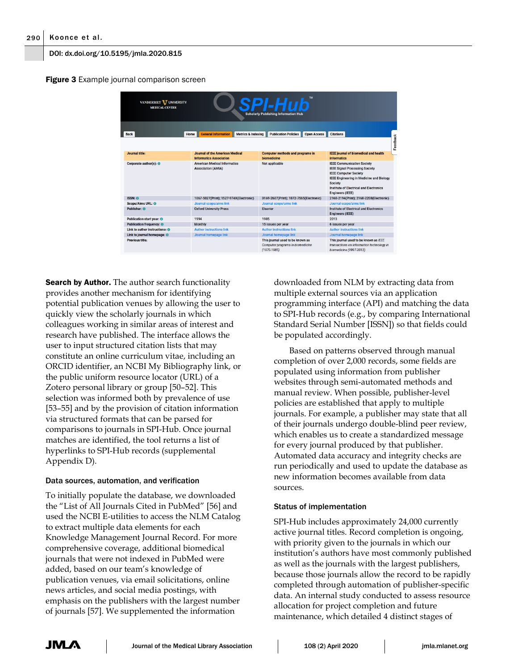**Figure 3** Example journal comparison screen

| SPLHub<br>VANDERBILT <b>V</b> UNIVERSITY<br><b>MEDICAL CENTER</b><br><b>Scholarly Publishing Information Hub</b> |      |                                                                  |                               |                                                                                         |                    |                                                                                                                                                                                                                                                |          |  |  |
|------------------------------------------------------------------------------------------------------------------|------|------------------------------------------------------------------|-------------------------------|-----------------------------------------------------------------------------------------|--------------------|------------------------------------------------------------------------------------------------------------------------------------------------------------------------------------------------------------------------------------------------|----------|--|--|
|                                                                                                                  |      |                                                                  |                               |                                                                                         |                    |                                                                                                                                                                                                                                                |          |  |  |
| <b>Back</b>                                                                                                      | Home | <b>General Information</b>                                       | <b>Metrics &amp; Indexing</b> | <b>Publication Policies</b>                                                             | <b>Open Access</b> | <b>Citations</b>                                                                                                                                                                                                                               |          |  |  |
|                                                                                                                  |      |                                                                  |                               |                                                                                         |                    |                                                                                                                                                                                                                                                | Feedback |  |  |
| Journal title:                                                                                                   |      | <b>Journal of the American Medical</b>                           |                               | <b>Computer methods and programs in</b>                                                 |                    | <b>IEEE</b> journal of biomedical and health                                                                                                                                                                                                   |          |  |  |
|                                                                                                                  |      | <b>Informatics Association</b>                                   |                               | biomedicine                                                                             |                    | <b>informatics</b>                                                                                                                                                                                                                             |          |  |  |
| Corporate author(s): <sup>®</sup>                                                                                |      | <b>American Medical Informatics</b><br><b>Association (AMIA)</b> |                               | Not applicable                                                                          |                    | <b>IEEE Communication Society</b><br><b>IEEE Signal Processing Society</b><br><b>IEEE Computer Society</b><br>IEEE Engineering in Medicine and Biology<br><b>Society</b><br>Institute of Electrical and Electronics<br><b>Engineers (IEEE)</b> |          |  |  |
| <b>ISSN: O</b>                                                                                                   |      | 1067-5027(Print); 1527-974X(Electronic)                          |                               | 0169-2607(Print); 1872-7565(Electronic)                                                 |                    | 2168-2194(Print); 2168-2208(Electronic)                                                                                                                                                                                                        |          |  |  |
| Scope/Aims URL: <sup>®</sup>                                                                                     |      | Journal scope/aims link                                          |                               | Journal scope/aims link                                                                 |                    | Journal scope/aims link                                                                                                                                                                                                                        |          |  |  |
| Publisher: O                                                                                                     |      | <b>Oxford University Press</b>                                   |                               | <b>Elsevier</b>                                                                         |                    | <b>Institute of Electrical and Electronics</b><br><b>Engineers (IEEE)</b>                                                                                                                                                                      |          |  |  |
| Publication start year: <sup>O</sup>                                                                             |      | 1994                                                             |                               | 1985                                                                                    |                    | 2013                                                                                                                                                                                                                                           |          |  |  |
| <b>Publication frequency: 6</b>                                                                                  |      | <b>Monthly</b>                                                   |                               | 15 issues per year                                                                      |                    | 6 issues per year                                                                                                                                                                                                                              |          |  |  |
| Link to author instructions: <sup>@</sup>                                                                        |      | <b>Author instructions link</b>                                  |                               | <b>Author instructions link</b>                                                         |                    | <b>Author instructions link</b>                                                                                                                                                                                                                |          |  |  |
| Link to journal homepage: ®                                                                                      |      | Journal homepage link                                            |                               | Journal homepage link                                                                   |                    | Journal homepage link                                                                                                                                                                                                                          |          |  |  |
| <b>Previous title:</b>                                                                                           |      |                                                                  |                               | This journal used to be known as<br>Computer programs in biomedicine<br>$(1970 - 1985)$ |                    | This journal used to be known as IEEE<br>transactions on information technology in<br>biomedicine (1997-2012)                                                                                                                                  |          |  |  |

**Search by Author.** The author search functionality provides another mechanism for identifying potential publication venues by allowing the user to quickly view the scholarly journals in which colleagues working in similar areas of interest and research have published. The interface allows the user to input structured citation lists that may constitute an online curriculum vitae, including an ORCID identifier, an NCBI My Bibliography link, or the public uniform resource locator (URL) of a Zotero personal library or group [50–52]. This selection was informed both by prevalence of use [53–55] and by the provision of citation information via structured formats that can be parsed for comparisons to journals in SPI-Hub. Once journal matches are identified, the tool returns a list of hyperlinks to SPI-Hub records (supplemental Appendix D).

## Data sources, automation, and verification

To initially populate the database, we downloaded the "List of All Journals Cited in PubMed" [56] and used the NCBI E-utilities to access the NLM Catalog to extract multiple data elements for each Knowledge Management Journal Record. For more comprehensive coverage, additional biomedical journals that were not indexed in PubMed were added, based on our team's knowledge of publication venues, via email solicitations, online news articles, and social media postings, with emphasis on the publishers with the largest number of journals [57]. We supplemented the information

downloaded from NLM by extracting data from multiple external sources via an application programming interface (API) and matching the data to SPI-Hub records (e.g., by comparing International Standard Serial Number [ISSN]) so that fields could be populated accordingly.

Based on patterns observed through manual completion of over 2,000 records, some fields are populated using information from publisher websites through semi-automated methods and manual review. When possible, publisher-level policies are established that apply to multiple journals. For example, a publisher may state that all of their journals undergo double-blind peer review, which enables us to create a standardized message for every journal produced by that publisher. Automated data accuracy and integrity checks are run periodically and used to update the database as new information becomes available from data sources.

## Status of implementation

SPI-Hub includes approximately 24,000 currently active journal titles. Record completion is ongoing, with priority given to the journals in which our institution's authors have most commonly published as well as the journals with the largest publishers, because those journals allow the record to be rapidly completed through automation of publisher-specific data. An internal study conducted to assess resource allocation for project completion and future maintenance, which detailed 4 distinct stages of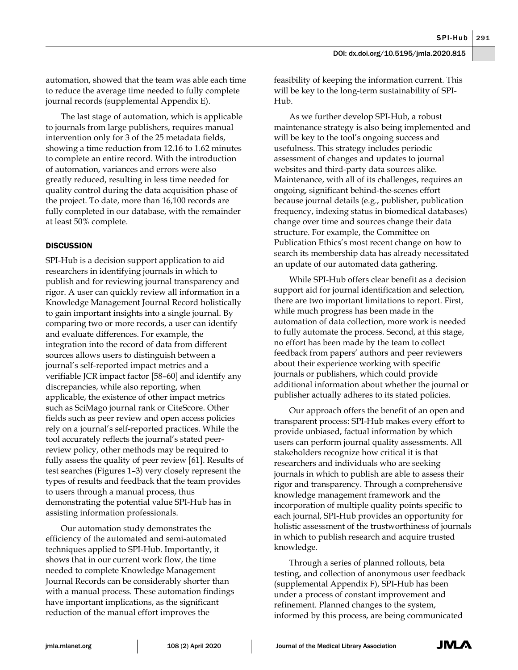automation, showed that the team was able each time to reduce the average time needed to fully complete journal records (supplemental Appendix E).

The last stage of automation, which is applicable to journals from large publishers, requires manual intervention only for 3 of the 25 metadata fields, showing a time reduction from 12.16 to 1.62 minutes to complete an entire record. With the introduction of automation, variances and errors were also greatly reduced, resulting in less time needed for quality control during the data acquisition phase of the project. To date, more than 16,100 records are fully completed in our database, with the remainder at least 50% complete.

# **DISCUSSION**

SPI-Hub is a decision support application to aid researchers in identifying journals in which to publish and for reviewing journal transparency and rigor. A user can quickly review all information in a Knowledge Management Journal Record holistically to gain important insights into a single journal. By comparing two or more records, a user can identify and evaluate differences. For example, the integration into the record of data from different sources allows users to distinguish between a journal's self-reported impact metrics and a verifiable JCR impact factor [58–60] and identify any discrepancies, while also reporting, when applicable, the existence of other impact metrics such as SciMago journal rank or CiteScore. Other fields such as peer review and open access policies rely on a journal's self-reported practices. While the tool accurately reflects the journal's stated peerreview policy, other methods may be required to fully assess the quality of peer review [61]. Results of test searches (Figures 1–3) very closely represent the types of results and feedback that the team provides to users through a manual process, thus demonstrating the potential value SPI-Hub has in assisting information professionals.

Our automation study demonstrates the efficiency of the automated and semi-automated techniques applied to SPI-Hub. Importantly, it shows that in our current work flow, the time needed to complete Knowledge Management Journal Records can be considerably shorter than with a manual process. These automation findings have important implications, as the significant reduction of the manual effort improves the

feasibility of keeping the information current. This will be key to the long-term sustainability of SPI-Hub.

As we further develop SPI-Hub, a robust maintenance strategy is also being implemented and will be key to the tool's ongoing success and usefulness. This strategy includes periodic assessment of changes and updates to journal websites and third-party data sources alike. Maintenance, with all of its challenges, requires an ongoing, significant behind-the-scenes effort because journal details (e.g., publisher, publication frequency, indexing status in biomedical databases) change over time and sources change their data structure. For example, the Committee on Publication Ethics's most recent change on how to search its membership data has already necessitated an update of our automated data gathering.

While SPI-Hub offers clear benefit as a decision support aid for journal identification and selection, there are two important limitations to report. First, while much progress has been made in the automation of data collection, more work is needed to fully automate the process. Second, at this stage, no effort has been made by the team to collect feedback from papers' authors and peer reviewers about their experience working with specific journals or publishers, which could provide additional information about whether the journal or publisher actually adheres to its stated policies.

Our approach offers the benefit of an open and transparent process: SPI-Hub makes every effort to provide unbiased, factual information by which users can perform journal quality assessments. All stakeholders recognize how critical it is that researchers and individuals who are seeking journals in which to publish are able to assess their rigor and transparency. Through a comprehensive knowledge management framework and the incorporation of multiple quality points specific to each journal, SPI-Hub provides an opportunity for holistic assessment of the trustworthiness of journals in which to publish research and acquire trusted knowledge.

Through a series of planned rollouts, beta testing, and collection of anonymous user feedback (supplemental Appendix F), SPI-Hub has been under a process of constant improvement and refinement. Planned changes to the system, informed by this process, are being communicated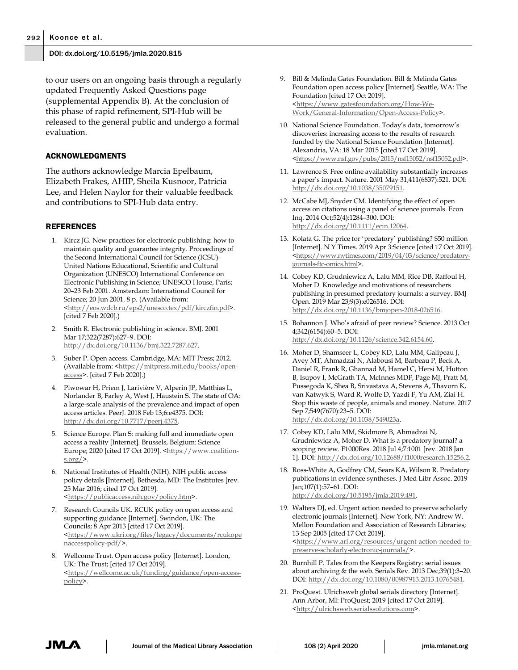to our users on an ongoing basis through a regularly updated Frequently Asked Questions page (supplemental Appendix B). At the conclusion of this phase of rapid refinement, SPI-Hub will be released to the general public and undergo a formal evaluation.

## ACKNOWLEDGMENTS

The authors acknowledge Marcia Epelbaum, Elizabeth Frakes, AHIP, Sheila Kusnoor, Patricia Lee, and Helen Naylor for their valuable feedback and contributions to SPI-Hub data entry.

## **REFERENCES**

- 1. Kircz JG. New practices for electronic publishing: how to maintain quality and guarantee integrity. Proceedings of the Second International Council for Science (ICSU)- United Nations Educational, Scientific and Cultural Organization (UNESCO) International Conference on Electronic Publishing in Science; UNESCO House, Paris; 20–23 Feb 2001. Amsterdam: International Council for Science; 20 Jun 2001. 8 p. (Available from: [<http://eos.wdcb.ru/eps2/unesco.tex/pdf/kirczfin.pdf>](http://eos.wdcb.ru/eps2/unesco.tex/pdf/kirczfin.pdf). [cited 7 Feb 2020].)
- 2. Smith R. Electronic publishing in science. BMJ. 2001 Mar 17;322(7287):627–9. DOI: [http://dx.doi.org/10.1136/bmj.322.7287.627.](http://dx.doi.org/10.1136/bmj.322.7287.627)
- 3. Suber P. Open access. Cambridge, MA: MIT Press; 2012. (Available from: [<https://mitpress.mit.edu/books/open](https://mitpress.mit.edu/books/open-access)[access>](https://mitpress.mit.edu/books/open-access). [cited 7 Feb 2020].)
- 4. Piwowar H, Priem J, Larivière V, Alperin JP, Matthias L, Norlander B, Farley A, West J, Haustein S. The state of OA: a large-scale analysis of the prevalence and impact of open access articles. PeerJ. 2018 Feb 13;6:e4375. DOI: [http://dx.doi.org/10.7717/peerj.4375.](http://dx.doi.org/10.7717/peerj.4375)
- 5. Science Europe. Plan S: making full and immediate open access a reality [Internet]. Brussels, Belgium: Science Europe; 2020 [cited 17 Oct 2019]. [<https://www.coalition](https://www.coalition-s.org/)s.org/ $>$ .
- 6. National Institutes of Health (NIH). NIH public access policy details [Internet]. Bethesda, MD: The Institutes [rev. 25 Mar 2016; cited 17 Oct 2019]. [<https://publicaccess.nih.gov/policy.htm>](https://publicaccess.nih.gov/policy.htm).
- 7. Research Councils UK. RCUK policy on open access and supporting guidance [Internet]. Swindon, UK: The Councils; 8 Apr 2013 [cited 17 Oct 2019]. [<https://www.ukri.org/files/legacy/documents/rcukope](https://www.ukri.org/files/legacy/documents/rcukopenaccesspolicy-pdf/) [naccesspolicy-pdf/>](https://www.ukri.org/files/legacy/documents/rcukopenaccesspolicy-pdf/).
- 8. Wellcome Trust. Open access policy [Internet]. London, UK: The Trust; [cited 17 Oct 2019]. [<https://wellcome.ac.uk/funding/guidance/open-access](https://wellcome.ac.uk/funding/guidance/open-access-policy)[policy>](https://wellcome.ac.uk/funding/guidance/open-access-policy).
- 9. Bill & Melinda Gates Foundation. Bill & Melinda Gates Foundation open access policy [Internet]. Seattle, WA: The Foundation [cited 17 Oct 2019]. [<https://www.gatesfoundation.org/How-We-](https://www.gatesfoundation.org/How-We-Work/General-Information/Open-Access-Policy)[Work/General-Information/Open-Access-Policy>](https://www.gatesfoundation.org/How-We-Work/General-Information/Open-Access-Policy).
- 10. National Science Foundation. Today's data, tomorrow's discoveries: increasing access to the results of research funded by the National Science Foundation [Internet]. Alexandria, VA: 18 Mar 2015 [cited 17 Oct 2019]. [<https://www.nsf.gov/pubs/2015/nsf15052/nsf15052.pdf>](https://www.nsf.gov/pubs/2015/nsf15052/nsf15052.pdf).
- 11. Lawrence S. Free online availability substantially increases a paper's impact. Nature. 2001 May 31;411(6837):521. DOI: [http://dx.doi.org/10.1038/35079151.](http://dx.doi.org/10.1038/35079151)
- 12. McCabe MJ, Snyder CM. Identifying the effect of open access on citations using a panel of science journals. Econ Inq. 2014 Oct;52(4):1284–300. DOI: [http://dx.doi.org/10.1111/ecin.12064.](http://dx.doi.org/10.1111/ecin.12064)
- 13. Kolata G. The price for 'predatory' publishing? \$50 million [Internet]. N Y Times. 2019 Apr 3:Science [cited 17 Oct 2019]. [<https://www.nytimes.com/2019/04/03/science/predatory](https://www.nytimes.com/2019/04/03/science/predatory-journals-ftc-omics.html)[journals-ftc-omics.html>](https://www.nytimes.com/2019/04/03/science/predatory-journals-ftc-omics.html).
- 14. Cobey KD, Grudniewicz A, Lalu MM, Rice DB, Raffoul H, Moher D. Knowledge and motivations of researchers publishing in presumed predatory journals: a survey. BMJ Open. 2019 Mar 23;9(3):e026516. DOI: [http://dx.doi.org/10.1136/bmjopen-2018-026516.](http://dx.doi.org/10.1136/bmjopen-2018-026516)
- 15. Bohannon J. Who's afraid of peer review? Science. 2013 Oct 4;342(6154):60–5. DOI: [http://dx.doi.org/10.1126/science.342.6154.60.](http://dx.doi.org/10.1126/science.342.6154.60)
- 16. Moher D, Shamseer L, Cobey KD, Lalu MM, Galipeau J, Avey MT, Ahmadzai N, Alabousi M, Barbeau P, Beck A, Daniel R, Frank R, Ghannad M, Hamel C, Hersi M, Hutton B, Isupov I, McGrath TA, McInnes MDF, Page MJ, Pratt M, Pussegoda K, Shea B, Srivastava A, Stevens A, Thavorn K, van Katwyk S, Ward R, Wolfe D, Yazdi F, Yu AM, Ziai H. Stop this waste of people, animals and money. Nature. 2017 Sep 7;549(7670):23–5. DOI: [http://dx.doi.org/10.1038/549023a.](http://dx.doi.org/10.1038/549023a)
- 17. Cobey KD, Lalu MM, Skidmore B, Ahmadzai N, Grudniewicz A, Moher D. What is a predatory journal? a scoping review. F1000Res. 2018 Jul 4;7:1001 [rev. 2018 Jan 1]. DOI[: http://dx.doi.org/10.12688/f1000research.15256.2.](http://dx.doi.org/10.12688/f1000research.15256.2)
- 18. Ross-White A, Godfrey CM, Sears KA, Wilson R. Predatory publications in evidence syntheses. J Med Libr Assoc. 2019 Jan;107(1):57–61. DOI: [http://dx.doi.org/10.5195/jmla.2019.491.](http://dx.doi.org/10.5195/jmla.2019.491)
- 19. Walters DJ, ed. Urgent action needed to preserve scholarly electronic journals [Internet]. New York, NY: Andrew W. Mellon Foundation and Association of Research Libraries; 13 Sep 2005 [cited 17 Oct 2019]. [<https://www.arl.org/resources/urgent-action-needed-to](https://www.arl.org/resources/urgent-action-needed-to-preserve-scholarly-electronic-journals/)[preserve-scholarly-electronic-journals/>](https://www.arl.org/resources/urgent-action-needed-to-preserve-scholarly-electronic-journals/).
- 20. Burnhill P. Tales from the Keepers Registry: serial issues about archiving & the web. Serials Rev. 2013 Dec;39(1):3–20. DOI: [http://dx.doi.org/10.1080/00987913.2013.10765481.](http://dx.doi.org/10.1080/00987913.2013.10765481)
- 21. ProQuest. Ulrichsweb global serials directory [Internet]. Ann Arbor, MI: ProQuest; 2019 [cited 17 Oct 2019]. [<http://ulrichsweb.serialssolutions.com>](http://ulrichsweb.serialssolutions.com/).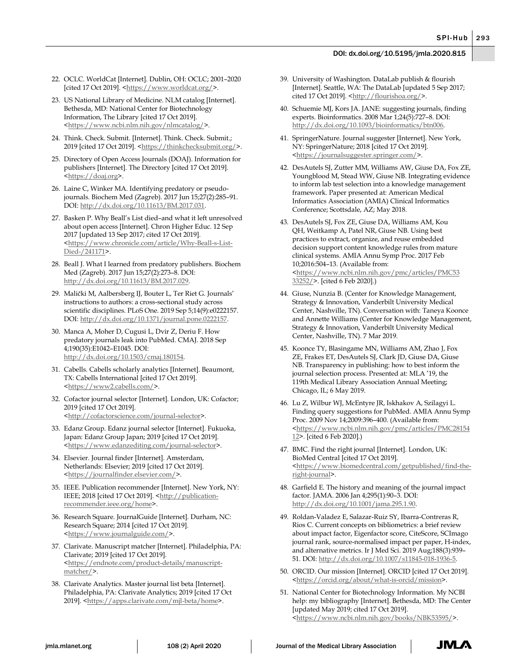- 22. OCLC. WorldCat [Internet]. Dublin, OH: OCLC; 2001–2020 [cited 17 Oct 2019]. [<https://www.worldcat.org/>](https://www.worldcat.org/).
- 23. US National Library of Medicine. NLM catalog [Internet]. Bethesda, MD: National Center for Biotechnology Information, The Library [cited 17 Oct 2019]. [<https://www.ncbi.nlm.nih.gov/nlmcatalog/>](https://www.ncbi.nlm.nih.gov/nlmcatalog/).
- 24. Think. Check. Submit. [Internet]. Think. Check. Submit.; 2019 [cited 17 Oct 2019]. [<https://thinkchecksubmit.org/>](https://thinkchecksubmit.org/).
- 25. Directory of Open Access Journals (DOAJ). Information for publishers [Internet]. The Directory [cited 17 Oct 2019]. [<https://doaj.org>](https://doaj.org/).
- 26. Laine C, Winker MA. Identifying predatory or pseudojournals. Biochem Med (Zagreb). 2017 Jun 15;27(2):285–91. DOI: [http://dx.doi.org/10.11613/BM.2017.031.](http://dx.doi.org/10.11613/BM.2017.031)
- 27. Basken P. Why Beall's List died–and what it left unresolved about open access [Internet]. Chron Higher Educ. 12 Sep 2017 [updated 13 Sep 2017; cited 17 Oct 2019]. [<https://www.chronicle.com/article/Why-Beall-s-List-](https://www.chronicle.com/article/Why-Beall-s-List-Died-/241171)[Died-/241171>](https://www.chronicle.com/article/Why-Beall-s-List-Died-/241171).
- 28. Beall J. What I learned from predatory publishers. Biochem Med (Zagreb). 2017 Jun 15;27(2):273–8. DOI: [http://dx.doi.org/10.11613/BM.2017.029.](http://dx.doi.org/10.11613/BM.2017.029)
- 29. Malički M, Aalbersberg IJ, Bouter L, Ter Riet G. Journals' instructions to authors: a cross-sectional study across scientific disciplines. PLoS One. 2019 Sep 5;14(9):e0222157. DOI: [http://dx.doi.org/10.1371/journal.pone.0222157.](http://dx.doi.org/10.1371/journal.pone.0222157)
- 30. Manca A, Moher D, Cugusi L, Dvir Z, Deriu F. How predatory journals leak into PubMed. CMAJ. 2018 Sep 4;190(35):E1042–E1045. DOI: [http://dx.doi.org/10.1503/cmaj.180154.](http://dx.doi.org/10.1503/cmaj.180154)
- 31. Cabells. Cabells scholarly analytics [Internet]. Beaumont, TX: Cabells International [cited 17 Oct 2019]. [<https://www2.cabells.com/>](https://www2.cabells.com/).
- 32. Cofactor journal selector [Internet]. London, UK: Cofactor; 2019 [cited 17 Oct 2019]. [<http://cofactorscience.com/journal-selector>](http://cofactorscience.com/journal-selector).
- 33. Edanz Group. Edanz journal selector [Internet]. Fukuoka, Japan: Edanz Group Japan; 2019 [cited 17 Oct 2019]. [<https://www.edanzediting.com/journal-selector>](https://www.edanzediting.com/journal-selector).
- 34. Elsevier. Journal finder [Internet]. Amsterdam, Netherlands: Elsevier; 2019 [cited 17 Oct 2019]. [<https://journalfinder.elsevier.com/>](https://journalfinder.elsevier.com/).
- 35. IEEE. Publication recommender [Internet]. New York, NY: IEEE; 2018 [cited 17 Oct 2019]. [<http://publication](http://publication-recommender.ieee.org/home)[recommender.ieee.org/home>](http://publication-recommender.ieee.org/home).
- 36. Research Square. JournalGuide [Internet]. Durham, NC: Research Square; 2014 [cited 17 Oct 2019]. [<https://www.journalguide.com/>](https://www.journalguide.com/).
- 37. Clarivate. Manuscript matcher [Internet]. Philadelphia, PA: Clarivate; 2019 [cited 17 Oct 2019]. [<https://endnote.com/product-details/manuscript](https://endnote.com/product-details/manuscript-matcher/)[matcher/>](https://endnote.com/product-details/manuscript-matcher/).
- 38. Clarivate Analytics. Master journal list beta [Internet]. Philadelphia, PA: Clarivate Analytics; 2019 [cited 17 Oct 2019]. [<https://apps.clarivate.com/mjl-beta/home>](https://apps.clarivate.com/mjl-beta/home).
- 39. University of Washington. DataLab publish & flourish [Internet]. Seattle, WA: The DataLab [updated 5 Sep 2017; cited 17 Oct 2019]. [<http://flourishoa.org/>](http://flourishoa.org/).
- 40. Schuemie MJ, Kors JA. JANE: suggesting journals, finding experts. Bioinformatics. 2008 Mar 1;24(5):727–8. DOI: [http://dx.doi.org/10.1093/bioinformatics/btn006.](http://dx.doi.org/10.1093/bioinformatics/btn006)
- 41. SpringerNature. Journal suggester [Internet]. New York, NY: SpringerNature; 2018 [cited 17 Oct 2019]. [<https://journalsuggester.springer.com/>](https://journalsuggester.springer.com/).
- 42. DesAutels SJ, Zutter MM, Williams AW, Giuse DA, Fox ZE, Youngblood M, Stead WW, Giuse NB. Integrating evidence to inform lab test selection into a knowledge management framework. Paper presented at: American Medical Informatics Association (AMIA) Clinical Informatics Conference; Scottsdale, AZ; May 2018.
- 43. DesAutels SJ, Fox ZE, Giuse DA, Williams AM, Kou QH, Weitkamp A, Patel NR, Giuse NB. Using best practices to extract, organize, and reuse embedded decision support content knowledge rules from mature clinical systems. AMIA Annu Symp Proc. 2017 Feb 10;2016:504–13. (Available from: [<https://www.ncbi.nlm.nih.gov/pmc/articles/PMC53](https://www.ncbi.nlm.nih.gov/pmc/articles/PMC5333252/) [33252/>](https://www.ncbi.nlm.nih.gov/pmc/articles/PMC5333252/). [cited 6 Feb 2020].)
- 44. Giuse, Nunzia B. (Center for Knowledge Management, Strategy & Innovation, Vanderbilt University Medical Center, Nashville, TN). Conversation with: Taneya Koonce and Annette Williams (Center for Knowledge Management, Strategy & Innovation, Vanderbilt University Medical Center, Nashville, TN). 7 Mar 2019.
- 45. Koonce TY, Blasingame MN, Williams AM, Zhao J, Fox ZE, Frakes ET, DesAutels SJ, Clark JD, Giuse DA, Giuse NB. Transparency in publishing: how to best inform the journal selection process. Presented at: MLA '19, the 119th Medical Library Association Annual Meeting; Chicago, IL; 6 May 2019.
- 46. Lu Z, Wilbur WJ, McEntyre JR, Iskhakov A, Szilagyi L. Finding query suggestions for PubMed. AMIA Annu Symp Proc. 2009 Nov 14;2009:396–400. (Available from: [<https://www.ncbi.nlm.nih.gov/pmc/articles/PMC28154](https://www.ncbi.nlm.nih.gov/pmc/articles/PMC2815412) [12>](https://www.ncbi.nlm.nih.gov/pmc/articles/PMC2815412). [cited 6 Feb 2020].)
- 47. BMC. Find the right journal [Internet]. London, UK: BioMed Central [cited 17 Oct 2019]. [<https://www.biomedcentral.com/getpublished/find-the](https://www.biomedcentral.com/getpublished/find-the-right-journal)[right-journal>](https://www.biomedcentral.com/getpublished/find-the-right-journal).
- 48. Garfield E. The history and meaning of the journal impact factor. JAMA. 2006 Jan 4;295(1):90–3. DOI: [http://dx.doi.org/10.1001/jama.295.1.90.](http://dx.doi.org/10.1001/jama.295.1.90)
- 49. Roldan-Valadez E, Salazar-Ruiz SY, Ibarra-Contreras R, Rios C. Current concepts on bibliometrics: a brief review about impact factor, Eigenfactor score, CiteScore, SCImago journal rank, source-normalised impact per paper, H-index, and alternative metrics. Ir J Med Sci. 2019 Aug;188(3):939– 51. DOI: [http://dx.doi.org/10.1007/s11845-018-1936-5.](http://dx.doi.org/10.1007/s11845-018-1936-5)
- 50. ORCID. Our mission [Internet]. ORCID [cited 17 Oct 2019]. [<https://orcid.org/about/what-is-orcid/mission>](https://orcid.org/about/what-is-orcid/mission).
- 51. National Center for Biotechnology Information. My NCBI help: my bibliography [Internet]. Bethesda, MD: The Center [updated May 2019; cited 17 Oct 2019]. [<https://www.ncbi.nlm.nih.gov/books/NBK53595/>](https://www.ncbi.nlm.nih.gov/books/NBK53595/).